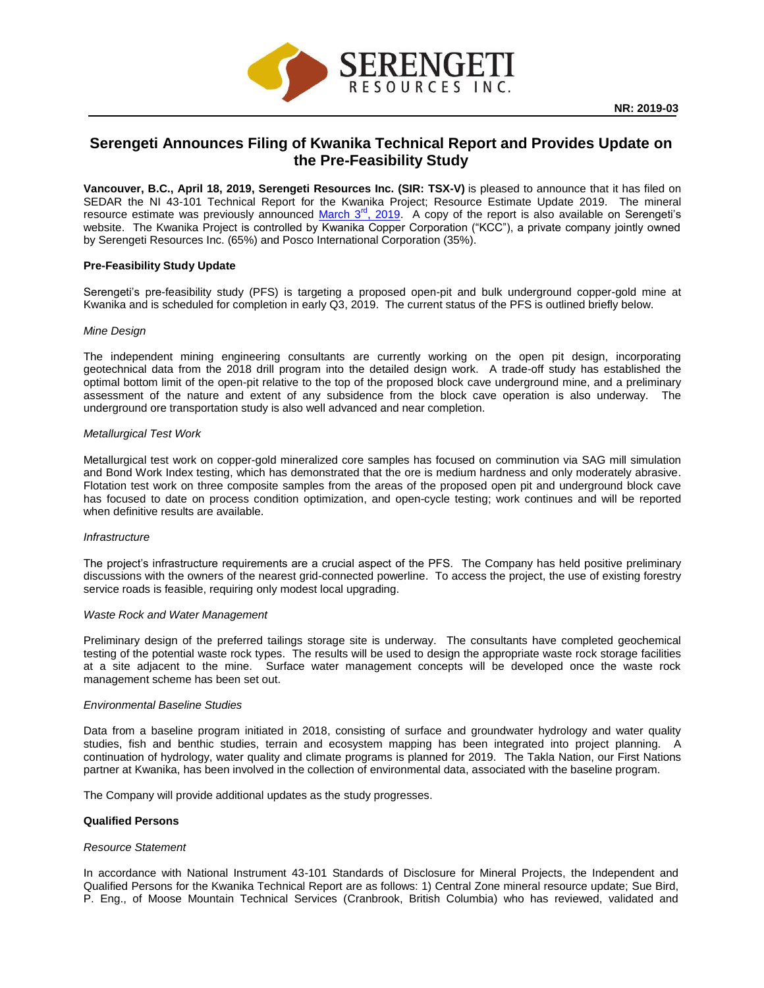

# **Serengeti Announces Filing of Kwanika Technical Report and Provides Update on the Pre-Feasibility Study**

**Vancouver, B.C., April 18, 2019, Serengeti Resources Inc. (SIR: TSX-V)** is pleased to announce that it has filed on SEDAR the NI 43-101 Technical Report for the Kwanika Project; Resource Estimate Update 2019. The mineral resource estimate was previously announced March  $3<sup>rd</sup>$ , 2019. A copy of the report is also available on Serengeti's website. The Kwanika Project is controlled by Kwanika Copper Corporation ("KCC"), a private company jointly owned by Serengeti Resources Inc. (65%) and Posco International Corporation (35%).

## **Pre-Feasibility Study Update**

Serengeti's pre-feasibility study (PFS) is targeting a proposed open-pit and bulk underground copper-gold mine at Kwanika and is scheduled for completion in early Q3, 2019. The current status of the PFS is outlined briefly below.

#### *Mine Design*

The independent mining engineering consultants are currently working on the open pit design, incorporating geotechnical data from the 2018 drill program into the detailed design work. A trade-off study has established the optimal bottom limit of the open-pit relative to the top of the proposed block cave underground mine, and a preliminary assessment of the nature and extent of any subsidence from the block cave operation is also underway. The underground ore transportation study is also well advanced and near completion.

#### *Metallurgical Test Work*

Metallurgical test work on copper-gold mineralized core samples has focused on comminution via SAG mill simulation and Bond Work Index testing, which has demonstrated that the ore is medium hardness and only moderately abrasive. Flotation test work on three composite samples from the areas of the proposed open pit and underground block cave has focused to date on process condition optimization, and open-cycle testing; work continues and will be reported when definitive results are available.

### *Infrastructure*

The project's infrastructure requirements are a crucial aspect of the PFS. The Company has held positive preliminary discussions with the owners of the nearest grid-connected powerline. To access the project, the use of existing forestry service roads is feasible, requiring only modest local upgrading.

#### *Waste Rock and Water Management*

Preliminary design of the preferred tailings storage site is underway. The consultants have completed geochemical testing of the potential waste rock types. The results will be used to design the appropriate waste rock storage facilities at a site adjacent to the mine. Surface water management concepts will be developed once the waste rock management scheme has been set out.

#### *Environmental Baseline Studies*

Data from a baseline program initiated in 2018, consisting of surface and groundwater hydrology and water quality studies, fish and benthic studies, terrain and ecosystem mapping has been integrated into project planning. A continuation of hydrology, water quality and climate programs is planned for 2019. The Takla Nation, our First Nations partner at Kwanika, has been involved in the collection of environmental data, associated with the baseline program.

The Company will provide additional updates as the study progresses.

#### **Qualified Persons**

#### *Resource Statement*

In accordance with National Instrument 43-101 Standards of Disclosure for Mineral Projects, the Independent and Qualified Persons for the Kwanika Technical Report are as follows: 1) Central Zone mineral resource update; Sue Bird, P. Eng., of Moose Mountain Technical Services (Cranbrook, British Columbia) who has reviewed, validated and